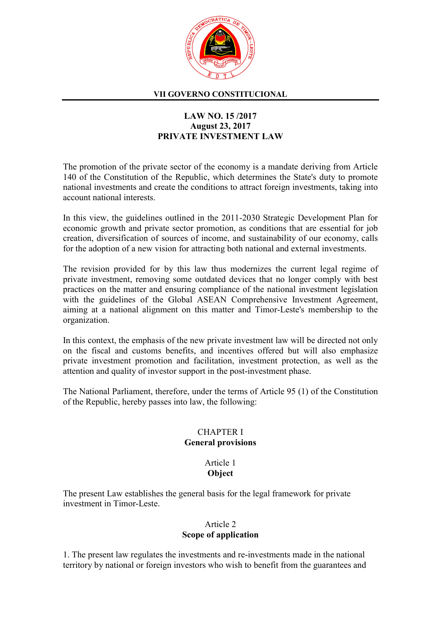

#### VII GOVERNO CONSTITUCIONAL

# LAW NO. 15 /2017 August 23, 2017 PRIVATE INVESTMENT LAW

The promotion of the private sector of the economy is a mandate deriving from Article 140 of the Constitution of the Republic, which determines the State's duty to promote national investments and create the conditions to attract foreign investments, taking into account national interests.

In this view, the guidelines outlined in the 2011-2030 Strategic Development Plan for economic growth and private sector promotion, as conditions that are essential for job creation, diversification of sources of income, and sustainability of our economy, calls for the adoption of a new vision for attracting both national and external investments.

The revision provided for by this law thus modernizes the current legal regime of private investment, removing some outdated devices that no longer comply with best practices on the matter and ensuring compliance of the national investment legislation with the guidelines of the Global ASEAN Comprehensive Investment Agreement, aiming at a national alignment on this matter and Timor-Leste's membership to the organization.

In this context, the emphasis of the new private investment law will be directed not only on the fiscal and customs benefits, and incentives offered but will also emphasize private investment promotion and facilitation, investment protection, as well as the attention and quality of investor support in the post-investment phase.

The National Parliament, therefore, under the terms of Article 95 (1) of the Constitution of the Republic, hereby passes into law, the following:

### CHAPTER I General provisions

# Article 1 **Object**

The present Law establishes the general basis for the legal framework for private investment in Timor-Leste.

# Article 2 Scope of application

1. The present law regulates the investments and re-investments made in the national territory by national or foreign investors who wish to benefit from the guarantees and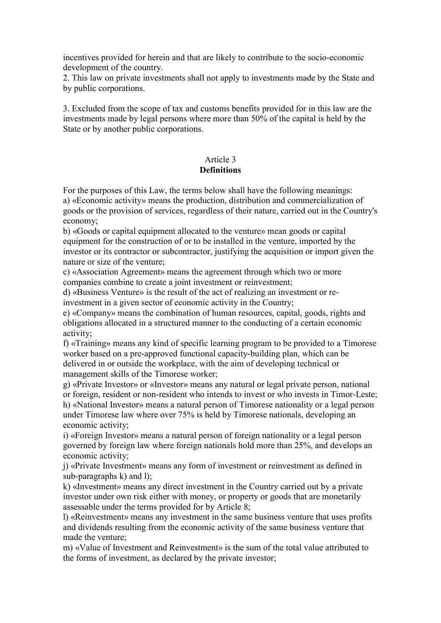incentives provided for herein and that are likely to contribute to the socio-economic development of the country.

2. This law on private investments shall not apply to investments made by the State and by public corporations.

3. Excluded from the scope of tax and customs benefits provided for in this law are the investments made by legal persons where more than 50% of the capital is held by the State or by another public corporations.

# Article 3

# **Definitions**

For the purposes of this Law, the terms below shall have the following meanings: a) «Economic activity» means the production, distribution and commercialization of goods or the provision of services, regardless of their nature, carried out in the Country's economy;

b) «Goods or capital equipment allocated to the venture» mean goods or capital equipment for the construction of or to be installed in the venture, imported by the investor or its contractor or subcontractor, justifying the acquisition or import given the nature or size of the venture;

c) «Association Agreement» means the agreement through which two or more companies combine to create a joint investment or reinvestment;

d) «Business Venture» is the result of the act of realizing an investment or reinvestment in a given sector of economic activity in the Country;

e) «Company» means the combination of human resources, capital, goods, rights and obligations allocated in a structured manner to the conducting of a certain economic activity;

f) «Training» means any kind of specific learning program to be provided to a Timorese worker based on a pre-approved functional capacity-building plan, which can be delivered in or outside the workplace, with the aim of developing technical or management skills of the Timorese worker;

g) «Private Investor» or «Investor» means any natural or legal private person, national or foreign, resident or non-resident who intends to invest or who invests in Timor-Leste; h) «National Investor» means a natural person of Timorese nationality or a legal person under Timorese law where over 75% is held by Timorese nationals, developing an economic activity;

i) «Foreign Investor» means a natural person of foreign nationality or a legal person governed by foreign law where foreign nationals hold more than 25%, and develops an economic activity;

j) «Private Investment» means any form of investment or reinvestment as defined in sub-paragraphs k) and l);

k) «Investment» means any direct investment in the Country carried out by a private investor under own risk either with money, or property or goods that are monetarily assessable under the terms provided for by Article 8;

l) «Reinvestment» means any investment in the same business venture that uses profits and dividends resulting from the economic activity of the same business venture that made the venture;

m) «Value of Investment and Reinvestment» is the sum of the total value attributed to the forms of investment, as declared by the private investor;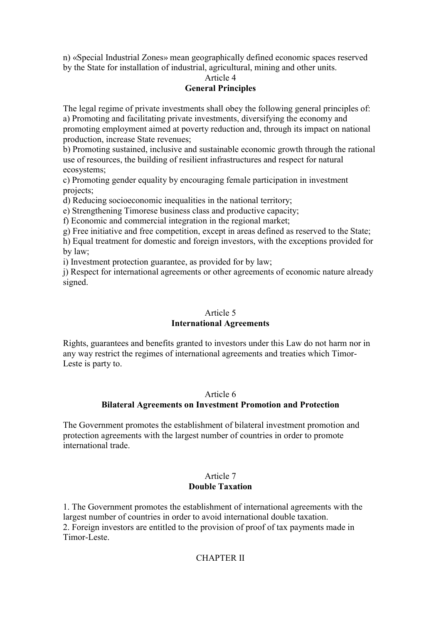n) «Special Industrial Zones» mean geographically defined economic spaces reserved by the State for installation of industrial, agricultural, mining and other units.

# Article 4 General Principles

The legal regime of private investments shall obey the following general principles of: a) Promoting and facilitating private investments, diversifying the economy and promoting employment aimed at poverty reduction and, through its impact on national production, increase State revenues;

b) Promoting sustained, inclusive and sustainable economic growth through the rational use of resources, the building of resilient infrastructures and respect for natural ecosystems;

c) Promoting gender equality by encouraging female participation in investment projects;

d) Reducing socioeconomic inequalities in the national territory;

e) Strengthening Timorese business class and productive capacity;

f) Economic and commercial integration in the regional market;

g) Free initiative and free competition, except in areas defined as reserved to the State;

h) Equal treatment for domestic and foreign investors, with the exceptions provided for by law;

i) Investment protection guarantee, as provided for by law;

j) Respect for international agreements or other agreements of economic nature already signed.

# Article 5

### International Agreements

Rights, guarantees and benefits granted to investors under this Law do not harm nor in any way restrict the regimes of international agreements and treaties which Timor-Leste is party to.

### Article 6

### Bilateral Agreements on Investment Promotion and Protection

The Government promotes the establishment of bilateral investment promotion and protection agreements with the largest number of countries in order to promote international trade.

#### Article 7 Double Taxation

1. The Government promotes the establishment of international agreements with the largest number of countries in order to avoid international double taxation. 2. Foreign investors are entitled to the provision of proof of tax payments made in

Timor-Leste.

### CHAPTER II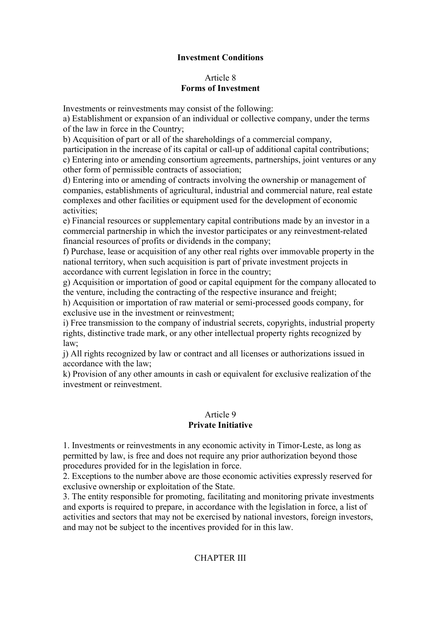# Investment Conditions

### Article 8 Forms of Investment

Investments or reinvestments may consist of the following:

a) Establishment or expansion of an individual or collective company, under the terms of the law in force in the Country;

b) Acquisition of part or all of the shareholdings of a commercial company,

participation in the increase of its capital or call-up of additional capital contributions; c) Entering into or amending consortium agreements, partnerships, joint ventures or any other form of permissible contracts of association;

d) Entering into or amending of contracts involving the ownership or management of companies, establishments of agricultural, industrial and commercial nature, real estate complexes and other facilities or equipment used for the development of economic activities;

e) Financial resources or supplementary capital contributions made by an investor in a commercial partnership in which the investor participates or any reinvestment-related financial resources of profits or dividends in the company;

f) Purchase, lease or acquisition of any other real rights over immovable property in the national territory, when such acquisition is part of private investment projects in accordance with current legislation in force in the country;

g) Acquisition or importation of good or capital equipment for the company allocated to the venture, including the contracting of the respective insurance and freight;

h) Acquisition or importation of raw material or semi-processed goods company, for exclusive use in the investment or reinvestment;

i) Free transmission to the company of industrial secrets, copyrights, industrial property rights, distinctive trade mark, or any other intellectual property rights recognized by law;

j) All rights recognized by law or contract and all licenses or authorizations issued in accordance with the law;

k) Provision of any other amounts in cash or equivalent for exclusive realization of the investment or reinvestment.

### Article 9 Private Initiative

1. Investments or reinvestments in any economic activity in Timor-Leste, as long as permitted by law, is free and does not require any prior authorization beyond those procedures provided for in the legislation in force.

2. Exceptions to the number above are those economic activities expressly reserved for exclusive ownership or exploitation of the State.

3. The entity responsible for promoting, facilitating and monitoring private investments and exports is required to prepare, in accordance with the legislation in force, a list of activities and sectors that may not be exercised by national investors, foreign investors, and may not be subject to the incentives provided for in this law.

# CHAPTER III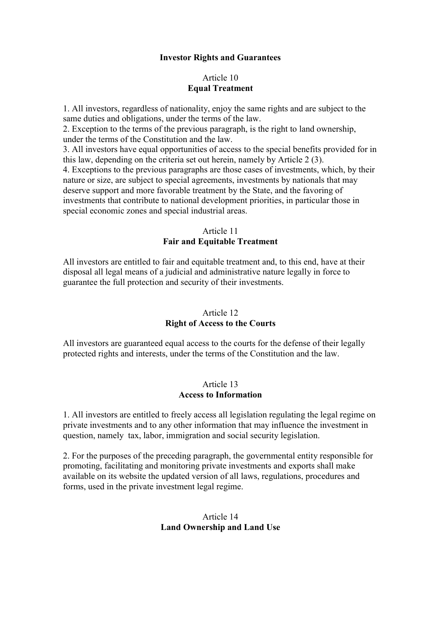### Investor Rights and Guarantees

### Article 10 Equal Treatment

1. All investors, regardless of nationality, enjoy the same rights and are subject to the same duties and obligations, under the terms of the law.

2. Exception to the terms of the previous paragraph, is the right to land ownership, under the terms of the Constitution and the law.

3. All investors have equal opportunities of access to the special benefits provided for in this law, depending on the criteria set out herein, namely by Article 2 (3).

4. Exceptions to the previous paragraphs are those cases of investments, which, by their nature or size, are subject to special agreements, investments by nationals that may deserve support and more favorable treatment by the State, and the favoring of investments that contribute to national development priorities, in particular those in special economic zones and special industrial areas.

### Article 11 Fair and Equitable Treatment

All investors are entitled to fair and equitable treatment and, to this end, have at their disposal all legal means of a judicial and administrative nature legally in force to guarantee the full protection and security of their investments.

# Article 12

### Right of Access to the Courts

All investors are guaranteed equal access to the courts for the defense of their legally protected rights and interests, under the terms of the Constitution and the law.

#### Article 13 Access to Information

1. All investors are entitled to freely access all legislation regulating the legal regime on private investments and to any other information that may influence the investment in question, namely tax, labor, immigration and social security legislation.

2. For the purposes of the preceding paragraph, the governmental entity responsible for promoting, facilitating and monitoring private investments and exports shall make available on its website the updated version of all laws, regulations, procedures and forms, used in the private investment legal regime.

# Article 14 Land Ownership and Land Use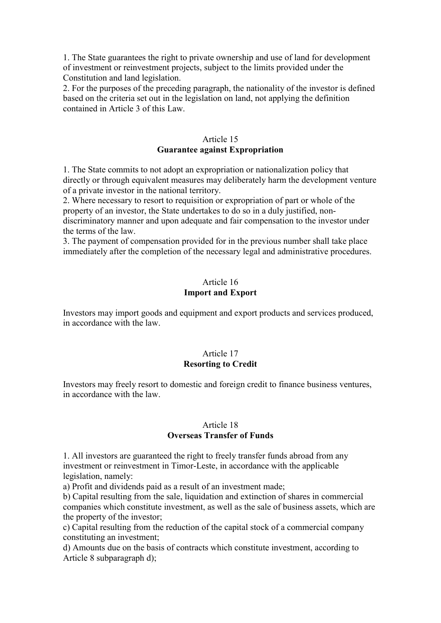1. The State guarantees the right to private ownership and use of land for development of investment or reinvestment projects, subject to the limits provided under the Constitution and land legislation.

2. For the purposes of the preceding paragraph, the nationality of the investor is defined based on the criteria set out in the legislation on land, not applying the definition contained in Article 3 of this Law.

### Article 15 Guarantee against Expropriation

1. The State commits to not adopt an expropriation or nationalization policy that directly or through equivalent measures may deliberately harm the development venture of a private investor in the national territory.

2. Where necessary to resort to requisition or expropriation of part or whole of the property of an investor, the State undertakes to do so in a duly justified, nondiscriminatory manner and upon adequate and fair compensation to the investor under the terms of the law.

3. The payment of compensation provided for in the previous number shall take place immediately after the completion of the necessary legal and administrative procedures.

# Article 16 Import and Export

Investors may import goods and equipment and export products and services produced, in accordance with the law.

### Article 17 Resorting to Credit

Investors may freely resort to domestic and foreign credit to finance business ventures, in accordance with the law.

### Article 18 Overseas Transfer of Funds

1. All investors are guaranteed the right to freely transfer funds abroad from any investment or reinvestment in Timor-Leste, in accordance with the applicable legislation, namely:

a) Profit and dividends paid as a result of an investment made;

b) Capital resulting from the sale, liquidation and extinction of shares in commercial companies which constitute investment, as well as the sale of business assets, which are the property of the investor;

c) Capital resulting from the reduction of the capital stock of a commercial company constituting an investment;

d) Amounts due on the basis of contracts which constitute investment, according to Article 8 subparagraph d);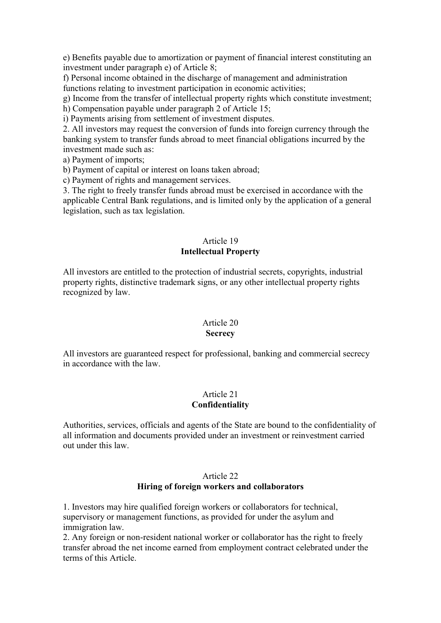e) Benefits payable due to amortization or payment of financial interest constituting an investment under paragraph e) of Article 8;

f) Personal income obtained in the discharge of management and administration functions relating to investment participation in economic activities;

g) Income from the transfer of intellectual property rights which constitute investment;

h) Compensation payable under paragraph 2 of Article 15;

i) Payments arising from settlement of investment disputes.

2. All investors may request the conversion of funds into foreign currency through the banking system to transfer funds abroad to meet financial obligations incurred by the investment made such as:

a) Payment of imports;

b) Payment of capital or interest on loans taken abroad;

c) Payment of rights and management services.

3. The right to freely transfer funds abroad must be exercised in accordance with the applicable Central Bank regulations, and is limited only by the application of a general legislation, such as tax legislation.

# Article 19

# Intellectual Property

All investors are entitled to the protection of industrial secrets, copyrights, industrial property rights, distinctive trademark signs, or any other intellectual property rights recognized by law.

### Article 20

### **Secrecy**

All investors are guaranteed respect for professional, banking and commercial secrecy in accordance with the law.

# Article 21

# Confidentiality

Authorities, services, officials and agents of the State are bound to the confidentiality of all information and documents provided under an investment or reinvestment carried out under this law.

### Article 22 Hiring of foreign workers and collaborators

1. Investors may hire qualified foreign workers or collaborators for technical, supervisory or management functions, as provided for under the asylum and immigration law.

2. Any foreign or non-resident national worker or collaborator has the right to freely transfer abroad the net income earned from employment contract celebrated under the terms of this Article.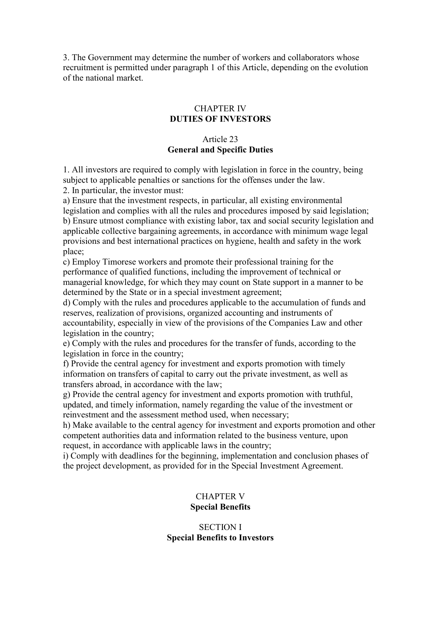3. The Government may determine the number of workers and collaborators whose recruitment is permitted under paragraph 1 of this Article, depending on the evolution of the national market.

# CHAPTER IV DUTIES OF INVESTORS

# Article 23 General and Specific Duties

1. All investors are required to comply with legislation in force in the country, being subject to applicable penalties or sanctions for the offenses under the law.

2. In particular, the investor must:

a) Ensure that the investment respects, in particular, all existing environmental legislation and complies with all the rules and procedures imposed by said legislation; b) Ensure utmost compliance with existing labor, tax and social security legislation and applicable collective bargaining agreements, in accordance with minimum wage legal provisions and best international practices on hygiene, health and safety in the work place;

c) Employ Timorese workers and promote their professional training for the performance of qualified functions, including the improvement of technical or managerial knowledge, for which they may count on State support in a manner to be determined by the State or in a special investment agreement;

d) Comply with the rules and procedures applicable to the accumulation of funds and reserves, realization of provisions, organized accounting and instruments of accountability, especially in view of the provisions of the Companies Law and other legislation in the country;

e) Comply with the rules and procedures for the transfer of funds, according to the legislation in force in the country;

f) Provide the central agency for investment and exports promotion with timely information on transfers of capital to carry out the private investment, as well as transfers abroad, in accordance with the law;

g) Provide the central agency for investment and exports promotion with truthful, updated, and timely information, namely regarding the value of the investment or reinvestment and the assessment method used, when necessary;

h) Make available to the central agency for investment and exports promotion and other competent authorities data and information related to the business venture, upon request, in accordance with applicable laws in the country;

i) Comply with deadlines for the beginning, implementation and conclusion phases of the project development, as provided for in the Special Investment Agreement.

# CHAPTER V Special Benefits

### SECTION I Special Benefits to Investors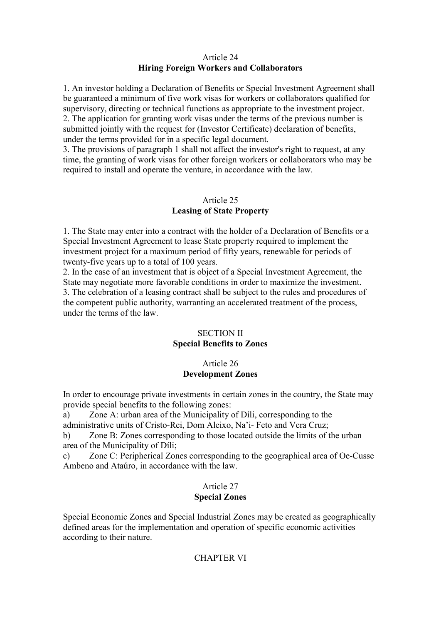# Article 24 Hiring Foreign Workers and Collaborators

1. An investor holding a Declaration of Benefits or Special Investment Agreement shall be guaranteed a minimum of five work visas for workers or collaborators qualified for supervisory, directing or technical functions as appropriate to the investment project. 2. The application for granting work visas under the terms of the previous number is submitted jointly with the request for (Investor Certificate) declaration of benefits, under the terms provided for in a specific legal document.

3. The provisions of paragraph 1 shall not affect the investor's right to request, at any time, the granting of work visas for other foreign workers or collaborators who may be required to install and operate the venture, in accordance with the law.

### Article 25 Leasing of State Property

1. The State may enter into a contract with the holder of a Declaration of Benefits or a Special Investment Agreement to lease State property required to implement the investment project for a maximum period of fifty years, renewable for periods of twenty-five years up to a total of 100 years.

2. In the case of an investment that is object of a Special Investment Agreement, the State may negotiate more favorable conditions in order to maximize the investment. 3. The celebration of a leasing contract shall be subject to the rules and procedures of the competent public authority, warranting an accelerated treatment of the process, under the terms of the law.

# SECTION II Special Benefits to Zones

### Article 26 Development Zones

In order to encourage private investments in certain zones in the country, the State may provide special benefits to the following zones:

a) Zone A: urban area of the Municipality of Díli, corresponding to the administrative units of Cristo-Rei, Dom Aleixo, Na'i- Feto and Vera Cruz;

b) Zone B: Zones corresponding to those located outside the limits of the urban area of the Municipality of Díli;

c) Zone C: Peripherical Zones corresponding to the geographical area of Oe-Cusse Ambeno and Ataúro, in accordance with the law.

# Article 27

# Special Zones

Special Economic Zones and Special Industrial Zones may be created as geographically defined areas for the implementation and operation of specific economic activities according to their nature.

# CHAPTER VI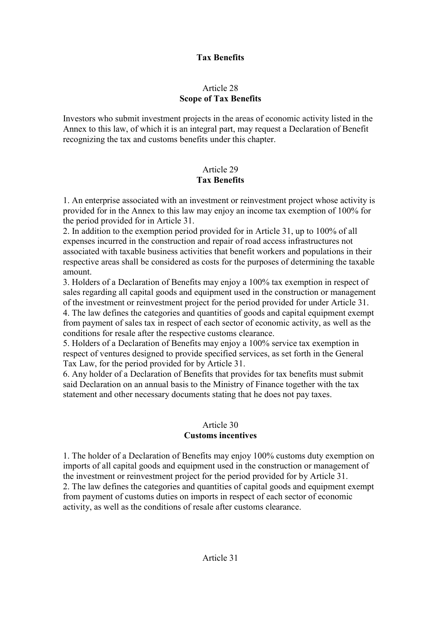# Tax Benefits

# Article 28 Scope of Tax Benefits

Investors who submit investment projects in the areas of economic activity listed in the Annex to this law, of which it is an integral part, may request a Declaration of Benefit recognizing the tax and customs benefits under this chapter.

# Article 29 Tax Benefits

1. An enterprise associated with an investment or reinvestment project whose activity is provided for in the Annex to this law may enjoy an income tax exemption of 100% for the period provided for in Article 31.

2. In addition to the exemption period provided for in Article 31, up to 100% of all expenses incurred in the construction and repair of road access infrastructures not associated with taxable business activities that benefit workers and populations in their respective areas shall be considered as costs for the purposes of determining the taxable amount.

3. Holders of a Declaration of Benefits may enjoy a 100% tax exemption in respect of sales regarding all capital goods and equipment used in the construction or management of the investment or reinvestment project for the period provided for under Article 31. 4. The law defines the categories and quantities of goods and capital equipment exempt from payment of sales tax in respect of each sector of economic activity, as well as the conditions for resale after the respective customs clearance.

5. Holders of a Declaration of Benefits may enjoy a 100% service tax exemption in respect of ventures designed to provide specified services, as set forth in the General Tax Law, for the period provided for by Article 31.

6. Any holder of a Declaration of Benefits that provides for tax benefits must submit said Declaration on an annual basis to the Ministry of Finance together with the tax statement and other necessary documents stating that he does not pay taxes.

### Article 30 Customs incentives

1. The holder of a Declaration of Benefits may enjoy 100% customs duty exemption on imports of all capital goods and equipment used in the construction or management of the investment or reinvestment project for the period provided for by Article 31. 2. The law defines the categories and quantities of capital goods and equipment exempt from payment of customs duties on imports in respect of each sector of economic activity, as well as the conditions of resale after customs clearance.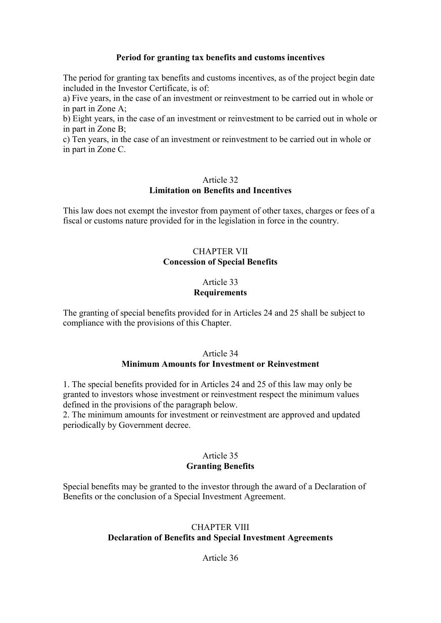### Period for granting tax benefits and customs incentives

The period for granting tax benefits and customs incentives, as of the project begin date included in the Investor Certificate, is of:

a) Five years, in the case of an investment or reinvestment to be carried out in whole or in part in Zone A;

b) Eight years, in the case of an investment or reinvestment to be carried out in whole or in part in Zone B;

c) Ten years, in the case of an investment or reinvestment to be carried out in whole or in part in Zone C.

#### Article 32 Limitation on Benefits and Incentives

This law does not exempt the investor from payment of other taxes, charges or fees of a fiscal or customs nature provided for in the legislation in force in the country.

### CHAPTER VII Concession of Special Benefits

#### Article 33 **Requirements**

The granting of special benefits provided for in Articles 24 and 25 shall be subject to compliance with the provisions of this Chapter.

### Article 34 Minimum Amounts for Investment or Reinvestment

1. The special benefits provided for in Articles 24 and 25 of this law may only be granted to investors whose investment or reinvestment respect the minimum values defined in the provisions of the paragraph below.

2. The minimum amounts for investment or reinvestment are approved and updated periodically by Government decree.

### Article 35 Granting Benefits

Special benefits may be granted to the investor through the award of a Declaration of Benefits or the conclusion of a Special Investment Agreement.

### CHAPTER VIII Declaration of Benefits and Special Investment Agreements

Article 36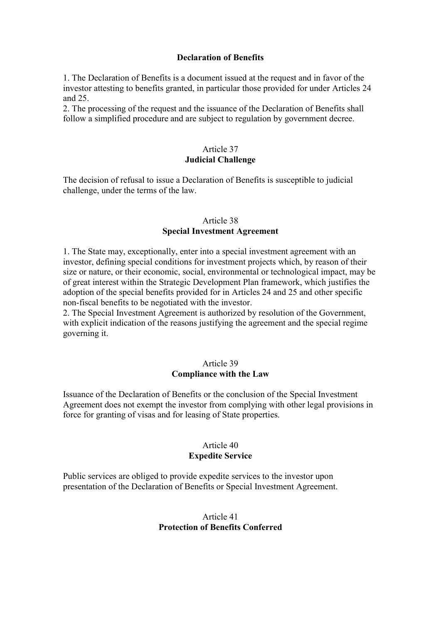### Declaration of Benefits

1. The Declaration of Benefits is a document issued at the request and in favor of the investor attesting to benefits granted, in particular those provided for under Articles 24 and 25.

2. The processing of the request and the issuance of the Declaration of Benefits shall follow a simplified procedure and are subject to regulation by government decree.

### Article 37 Judicial Challenge

The decision of refusal to issue a Declaration of Benefits is susceptible to judicial challenge, under the terms of the law.

### Article 38 Special Investment Agreement

1. The State may, exceptionally, enter into a special investment agreement with an investor, defining special conditions for investment projects which, by reason of their size or nature, or their economic, social, environmental or technological impact, may be of great interest within the Strategic Development Plan framework, which justifies the adoption of the special benefits provided for in Articles 24 and 25 and other specific non-fiscal benefits to be negotiated with the investor.

2. The Special Investment Agreement is authorized by resolution of the Government, with explicit indication of the reasons justifying the agreement and the special regime governing it.

#### Article 39 Compliance with the Law

Issuance of the Declaration of Benefits or the conclusion of the Special Investment Agreement does not exempt the investor from complying with other legal provisions in force for granting of visas and for leasing of State properties.

### Article 40 Expedite Service

Public services are obliged to provide expedite services to the investor upon presentation of the Declaration of Benefits or Special Investment Agreement.

# Article 41 Protection of Benefits Conferred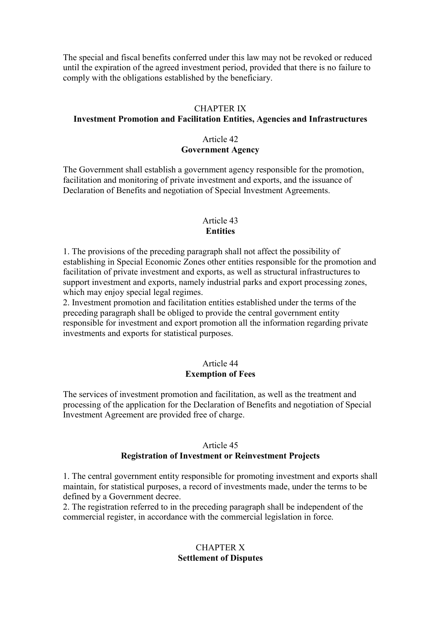The special and fiscal benefits conferred under this law may not be revoked or reduced until the expiration of the agreed investment period, provided that there is no failure to comply with the obligations established by the beneficiary.

#### CHAPTER IX

# Investment Promotion and Facilitation Entities, Agencies and Infrastructures

### Article 42 Government Agency

The Government shall establish a government agency responsible for the promotion, facilitation and monitoring of private investment and exports, and the issuance of Declaration of Benefits and negotiation of Special Investment Agreements.

# Article 43 **Entities**

1. The provisions of the preceding paragraph shall not affect the possibility of establishing in Special Economic Zones other entities responsible for the promotion and facilitation of private investment and exports, as well as structural infrastructures to support investment and exports, namely industrial parks and export processing zones, which may enjoy special legal regimes.

2. Investment promotion and facilitation entities established under the terms of the preceding paragraph shall be obliged to provide the central government entity responsible for investment and export promotion all the information regarding private investments and exports for statistical purposes.

### Article 44 Exemption of Fees

The services of investment promotion and facilitation, as well as the treatment and processing of the application for the Declaration of Benefits and negotiation of Special Investment Agreement are provided free of charge.

### Article 45

### Registration of Investment or Reinvestment Projects

1. The central government entity responsible for promoting investment and exports shall maintain, for statistical purposes, a record of investments made, under the terms to be defined by a Government decree.

2. The registration referred to in the preceding paragraph shall be independent of the commercial register, in accordance with the commercial legislation in force.

# CHAPTER X Settlement of Disputes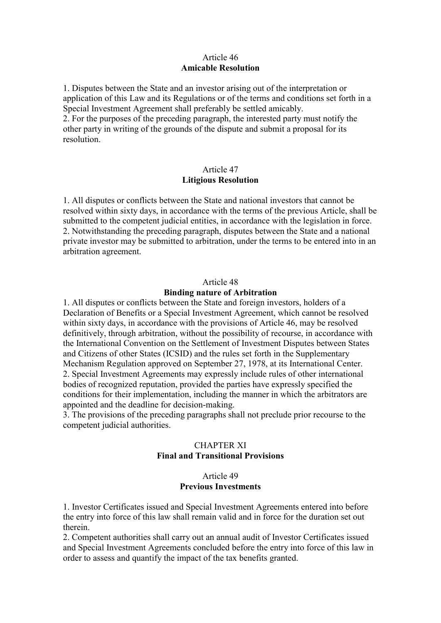### Article 46 Amicable Resolution

1. Disputes between the State and an investor arising out of the interpretation or application of this Law and its Regulations or of the terms and conditions set forth in a Special Investment Agreement shall preferably be settled amicably.

2. For the purposes of the preceding paragraph, the interested party must notify the other party in writing of the grounds of the dispute and submit a proposal for its resolution.

# Article 47 Litigious Resolution

1. All disputes or conflicts between the State and national investors that cannot be resolved within sixty days, in accordance with the terms of the previous Article, shall be submitted to the competent judicial entities, in accordance with the legislation in force. 2. Notwithstanding the preceding paragraph, disputes between the State and a national private investor may be submitted to arbitration, under the terms to be entered into in an arbitration agreement.

#### Article 48

#### Binding nature of Arbitration

1. All disputes or conflicts between the State and foreign investors, holders of a Declaration of Benefits or a Special Investment Agreement, which cannot be resolved within sixty days, in accordance with the provisions of Article 46, may be resolved definitively, through arbitration, without the possibility of recourse, in accordance with the International Convention on the Settlement of Investment Disputes between States and Citizens of other States (ICSID) and the rules set forth in the Supplementary Mechanism Regulation approved on September 27, 1978, at its International Center. 2. Special Investment Agreements may expressly include rules of other international bodies of recognized reputation, provided the parties have expressly specified the conditions for their implementation, including the manner in which the arbitrators are appointed and the deadline for decision-making.

3. The provisions of the preceding paragraphs shall not preclude prior recourse to the competent judicial authorities.

# CHAPTER XI Final and Transitional Provisions

### Article 49 Previous Investments

1. Investor Certificates issued and Special Investment Agreements entered into before the entry into force of this law shall remain valid and in force for the duration set out therein.

2. Competent authorities shall carry out an annual audit of Investor Certificates issued and Special Investment Agreements concluded before the entry into force of this law in order to assess and quantify the impact of the tax benefits granted.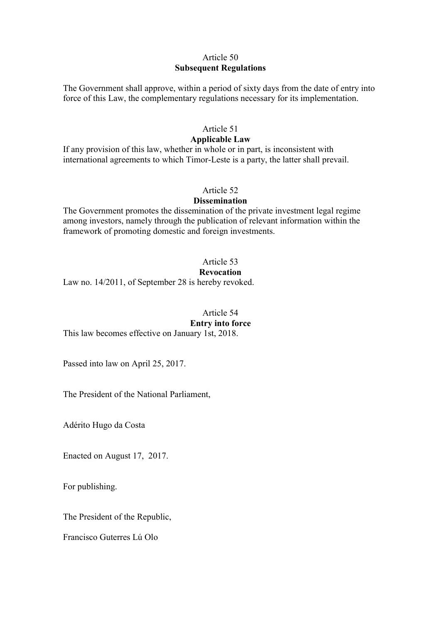# Article 50 Subsequent Regulations

The Government shall approve, within a period of sixty days from the date of entry into force of this Law, the complementary regulations necessary for its implementation.

#### Article 51 Applicable Law

If any provision of this law, whether in whole or in part, is inconsistent with international agreements to which Timor-Leste is a party, the latter shall prevail.

# Article 52

### **Dissemination**

The Government promotes the dissemination of the private investment legal regime among investors, namely through the publication of relevant information within the framework of promoting domestic and foreign investments.

# Article 53

### Revocation

Law no. 14/2011, of September 28 is hereby revoked.

Article 54 Entry into force

This law becomes effective on January 1st, 2018.

Passed into law on April 25, 2017.

The President of the National Parliament,

Adérito Hugo da Costa

Enacted on August 17, 2017.

For publishing.

The President of the Republic,

Francisco Guterres Lú Olo